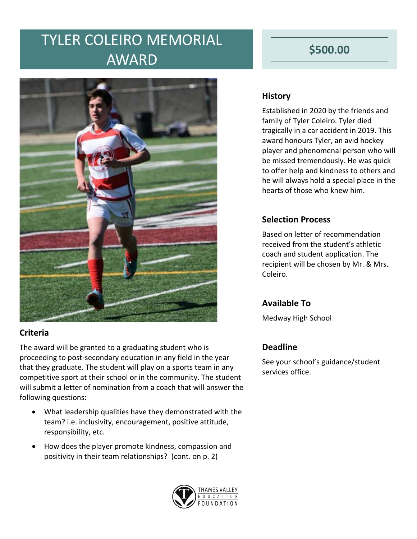## TYLER COLEIRO MEMORIAL AWARD



#### **Criteria**

The award will be granted to a graduating student who is proceeding to post-secondary education in any field in the year that they graduate. The student will play on a sports team in any competitive sport at their school or in the community. The student will submit a letter of nomination from a coach that will answer the following questions:

- What leadership qualities have they demonstrated with the team? i.e. inclusivity, encouragement, positive attitude, responsibility, etc.
- How does the player promote kindness, compassion and positivity in their team relationships? (cont. on p. 2)



### **\$500.00**

#### **History**

Established in 2020 by the friends and family of Tyler Coleiro. Tyler died tragically in a car accident in 2019. This award honours Tyler, an avid hockey player and phenomenal person who will be missed tremendously. He was quick to offer help and kindness to others and he will always hold a special place in the hearts of those who knew him.

#### **Selection Process**

Based on letter of recommendation received from the student's athletic coach and student application. The recipient will be chosen by Mr. & Mrs. Coleiro.

#### **Available To**

Medway High School

#### **Deadline**

See your school's guidance/student services office.